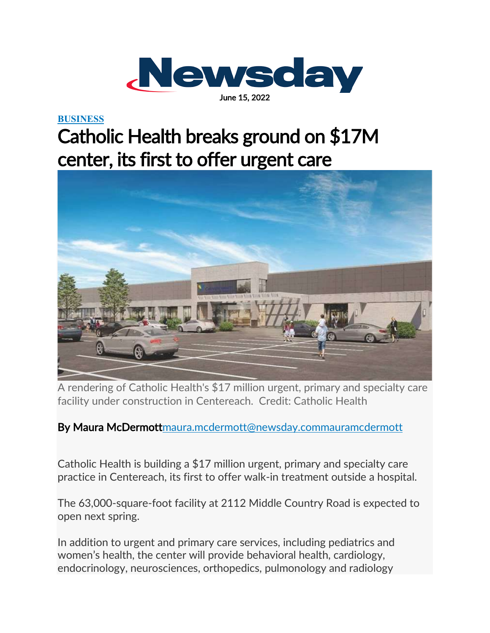

## **[BUSINESS](https://www.newsday.com/business)**

## Catholic Health breaks ground on \$17M center, its first to offer urgent care



A rendering of Catholic Health's \$17 million urgent, primary and specialty care facility under construction in Centereach. Credit: Catholic Health

By Maura McDermot[tmaura.mcdermott@newsday.com](mailto:maura.mcdermott@newsday.com?subject=Catholic%20Health%20breaks%20ground%20on%20$17M%20center,%20its%20first%20to%20offer%C2%A0urgent%20care%C2%A0)[mauramcdermott](https://twitter.com/mauramcdermott)

Catholic Health is building a \$17 million urgent, primary and specialty care practice in Centereach, its first to offer walk-in treatment outside a hospital.

The 63,000-square-foot facility at 2112 Middle Country Road is expected to open next spring.

In addition to urgent and primary care services, including pediatrics and women's health, the center will provide behavioral health, cardiology, endocrinology, neurosciences, orthopedics, pulmonology and radiology